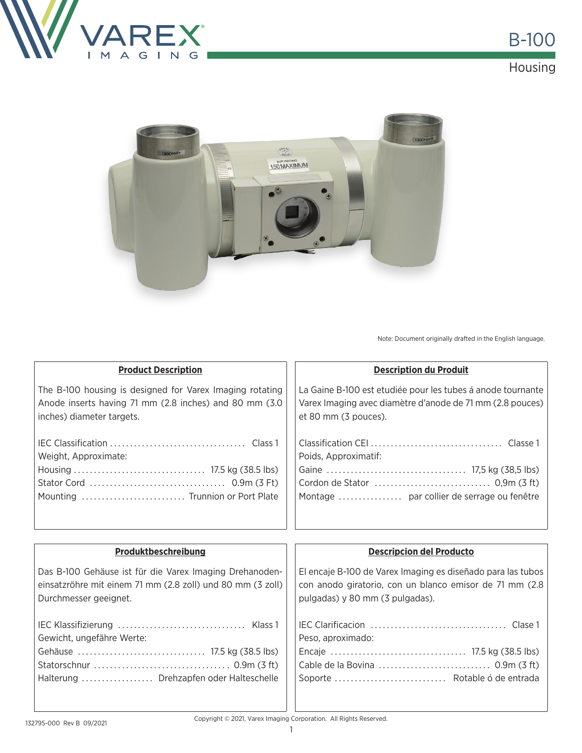



Note: Document originally drafted in the English language.

| <b>Product Description</b>                                 | <b>Description du Produit</b>                               |  |  |
|------------------------------------------------------------|-------------------------------------------------------------|--|--|
| The B-100 housing is designed for Varex Imaging rotating   | La Gaine B-100 est etudiée pour les tubes á anode tournante |  |  |
| Anode inserts having 71 mm (2.8 inches) and 80 mm (3.0     | Varex Imaging avec diamètre d'anode de 71 mm (2.8 pouces)   |  |  |
| inches) diameter targets.                                  | et 80 mm (3 pouces).                                        |  |  |
|                                                            |                                                             |  |  |
|                                                            |                                                             |  |  |
| Weight, Approximate:                                       | Poids, Approximatif:                                        |  |  |
|                                                            |                                                             |  |  |
|                                                            |                                                             |  |  |
| Mounting  Trunnion or Port Plate                           | Montage  par collier de serrage ou fenêtre                  |  |  |
|                                                            |                                                             |  |  |
|                                                            |                                                             |  |  |
|                                                            |                                                             |  |  |
| Produktbeschreibung                                        | <b>Descripcion del Producto</b>                             |  |  |
| Das B-100 Gehäuse ist für die Varex Imaging Drehanoden-    | El encaje B-100 de Varex Imaging es diseñado para las tubos |  |  |
| einsatzröhre mit einem 71 mm (2.8 zoll) und 80 mm (3 zoll) | con anodo giratorio, con un blanco emisor de 71 mm (2.8     |  |  |
| Durchmesser geeignet.                                      | pulgadas) y 80 mm (3 pulgadas).                             |  |  |
|                                                            |                                                             |  |  |
|                                                            |                                                             |  |  |
| Gewicht, ungefähre Werte:                                  | Peso, aproximado:                                           |  |  |
|                                                            |                                                             |  |  |
|                                                            |                                                             |  |  |
| Halterung  Drehzapfen oder Halteschelle                    | Soporte  Rotable ó de entrada                               |  |  |

Copyright © 2021, Varex Imaging Corporation. All Rights Reserved.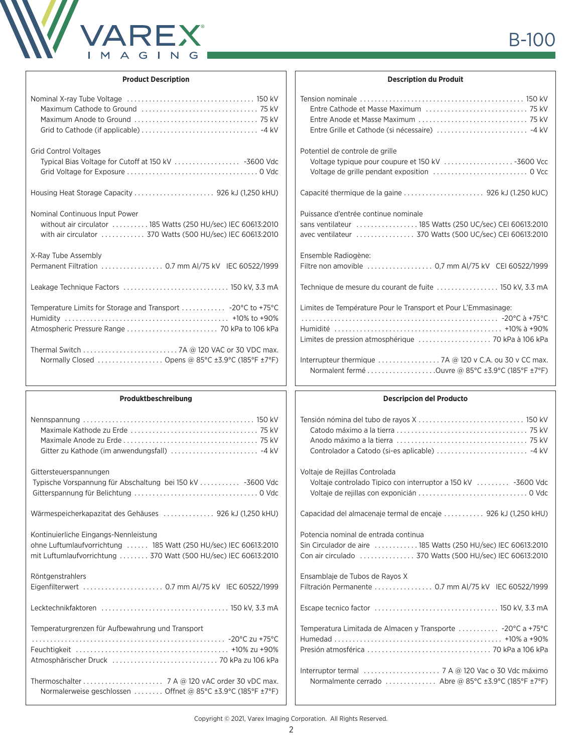

## **Product Description**

| <b>Grid Control Voltages</b><br>Typical Bias Voltage for Cutoff at 150 kV  -3600 Vdc                                                                         |
|--------------------------------------------------------------------------------------------------------------------------------------------------------------|
|                                                                                                                                                              |
| Nominal Continuous Input Power<br>without air circulator  185 Watts (250 HU/sec) IEC 60613:2010<br>with air circulator 370 Watts (500 HU/sec) IEC 60613:2010 |
| X-Ray Tube Assembly<br>Permanent Filtration 0.7 mm AI/75 kV IEC 60522/1999                                                                                   |
| Leakage Technique Factors  150 kV, 3.3 mA                                                                                                                    |
| Atmospheric Pressure Range  70 kPa to 106 kPa                                                                                                                |
| Normally Closed  Opens @ 85°C ±3.9°C (185°F ±7°F)                                                                                                            |

## **Produktbeschreibung**

| Gittersteuerspannungen                                                                                                              |
|-------------------------------------------------------------------------------------------------------------------------------------|
| Typische Vorspannung für Abschaltung bei 150 kV  -3600 Vdc                                                                          |
| Wärmespeicherkapazitat des Gehäuses  926 kJ (1,250 kHU)                                                                             |
| Kontinuierliche Eingangs-Nennleistung                                                                                               |
| ohne Luftumlaufvorrichtung  185 Watt (250 HU/sec) IEC 60613:2010<br>mit Luftumlaufvorrichtung  370 Watt (500 HU/sec) IEC 60613:2010 |
| Röntgenstrahlers                                                                                                                    |
| Eigenfilterwert  0.7 mm Al/75 kV IEC 60522/1999                                                                                     |
|                                                                                                                                     |
| Temperaturgrenzen für Aufbewahrung und Transport                                                                                    |
|                                                                                                                                     |
|                                                                                                                                     |
|                                                                                                                                     |
|                                                                                                                                     |
| Normalerweise geschlossen  Offnet @ 85°C ±3.9°C (185°F ±7°F)                                                                        |
|                                                                                                                                     |

## **Description du Produit**

| Potentiel de controle de grille                                                                                                                            |  |  |  |
|------------------------------------------------------------------------------------------------------------------------------------------------------------|--|--|--|
|                                                                                                                                                            |  |  |  |
| Puissance d'entrée continue nominale<br>sans ventilateur  185 Watts (250 UC/sec) CEI 60613:2010<br>avec ventilateur  370 Watts (500 UC/sec) CEI 60613:2010 |  |  |  |
| Ensemble Radiogène:<br>Filtre non amovible  0,7 mm Al/75 kV CEI 60522/1999                                                                                 |  |  |  |
|                                                                                                                                                            |  |  |  |
| Limites de Température Pour le Transport et Pour L'Emmasinage:                                                                                             |  |  |  |
|                                                                                                                                                            |  |  |  |
| Normalent fermé Ouvre @ 85°C ±3.9°C (185°F ±7°F)                                                                                                           |  |  |  |
| <b>Descripcion del Producto</b>                                                                                                                            |  |  |  |
|                                                                                                                                                            |  |  |  |

| Voltaje de Rejillas Controlada<br>Voltaje controlado Tipico con interruptor a 150 kV  -3600 Vdc       |
|-------------------------------------------------------------------------------------------------------|
| Capacidad del almacenaje termal de encaje  926 kJ (1,250 kHU)                                         |
| Potencia nominal de entrada continua<br>Sin Circulador de aire  185 Watts (250 HU/sec) IEC 60613:2010 |
| Ensamblaje de Tubos de Rayos X<br>Filtración Permanente  0.7 mm AI/75 kV IEC 60522/1999               |
|                                                                                                       |
| Temperatura Limitada de Almacen y Transporte  -20°C a +75°C                                           |
| Normalmente cerrado  Abre @ 85°C ±3.9°C (185°F ±7°F)                                                  |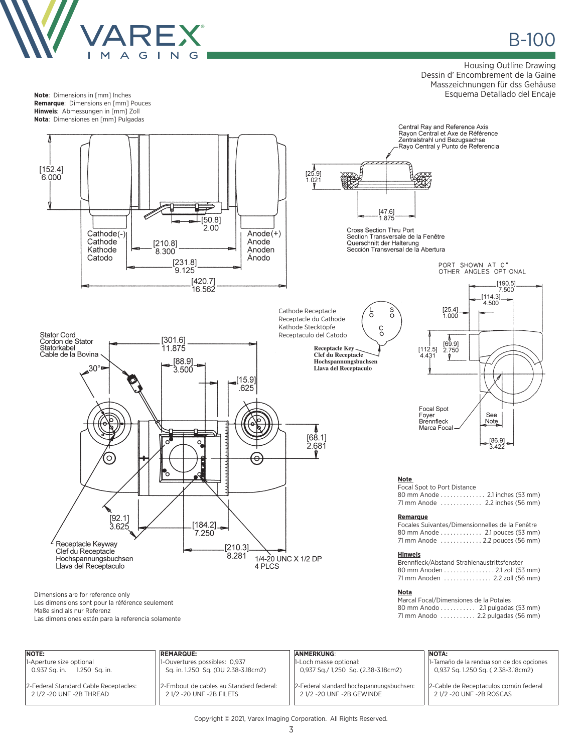

**Note**: Dimensions in [mm] Inches **Remarque**: Dimensions en [mm] Pouces **Hinweis**: Abmessungen in [mm] Zoll **Nota**: Dimensiones en [mm] Pulgadas

B-100 ®

Housing Outline Drawing Dessin d' Encombrement de la Gaine Masszeichnungen für dss Gehäuse Esquema Detallado del Encaje



| NOTE:                                                             | <b>REMARQUE:</b>                                                     | <b>ANMERKUNG:</b>                                                  | NOTA:                                                                           |
|-------------------------------------------------------------------|----------------------------------------------------------------------|--------------------------------------------------------------------|---------------------------------------------------------------------------------|
| 1-Aperture size optional<br>1.250 Sq. in.<br>0.937 Sa. in.        | 1-Ouvertures possibles: 0,937<br>Sq. in. 1.250 Sq. (OU 2.38-3.18cm2) | 1-Loch masse optional:<br>0,937 Sq./ 1,250 Sq. (2.38-3.18cm2)      | 1-Tamaño de la rendua son de dos opciones<br>0,937 Sq. 1.250 Sq. (2.38-3.18cm2) |
| 2-Federal Standard Cable Receptacles:<br>2 1/2 -20 UNF -2B THREAD | 2-Embout de cables au Standard federal:<br>21/2 - 20 UNF - 2B FILETS | 2-Federal standard hochspannungsbuchsen:<br>21/2-20 UNF-2B GEWINDE | 2-Cable de Receptaculos común federal<br>21/2 -20 UNF -2B ROSCAS                |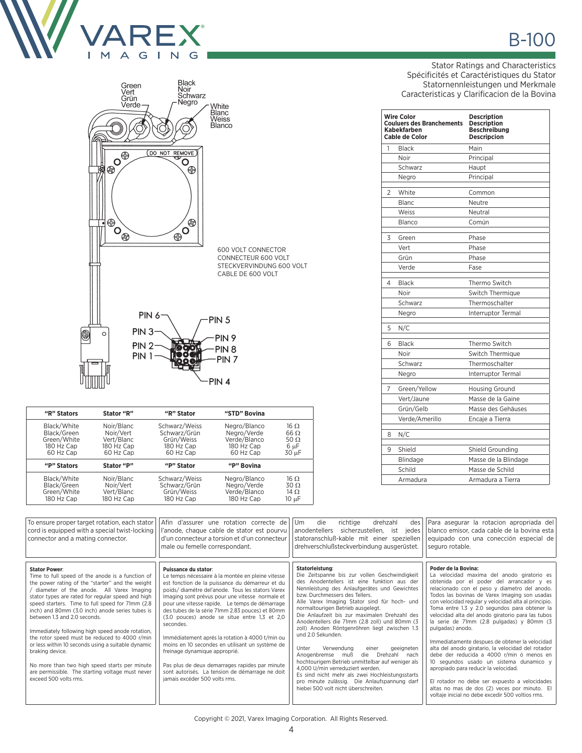



| "R" Stators | Stator "R" | "R" Stator    | "STD" Bovina |             |
|-------------|------------|---------------|--------------|-------------|
| Black/White | Noir/Blanc | Schwarz/Weiss | Negro/Blanco | $16 \Omega$ |
| Black/Green | Noir/Vert  | Schwarz/Grün  | Negro/Verde  | $66 \Omega$ |
| Green/White | Vert/Blanc | Grün/Weiss    | Verde/Blanco | 50 $\Omega$ |
| 180 Hz Cap  | 180 Hz Cap | 180 Hz Cap    | 180 Hz Cap   | 6 µF        |
| 60 Hz Cap   | 60 Hz Cap  | 60 Hz Cap     | 60 Hz Cap    | 30 µF       |
| "P" Stators | Stator "P" | "P" Stator    | "P" Bovina   |             |
| Black/White | Noir/Blanc | Schwarz/Weiss | Negro/Blanco | $16 \Omega$ |
| Black/Green | Noir/Vert  | Schwarz/Grün  | Negro/Verde  | $30 \Omega$ |
| Green/White | Vert/Blanc | Grün/Weiss    | Verde/Blanco | $14 \Omega$ |
| 180 Hz Cap  | 180 Hz Cap | 180 Hz Cap    | 180 Hz Cap   | $10 \mu F$  |

Stator Ratings and Characteristics Spécificités et Caractéristiques du Stator Statornennleistungen und Merkmale Caracteristicas y Clarificacion de la Bovina

|   | Wire Color<br><b>Couluers des Branchements</b><br>Kabekfarben<br>Cable de Color | <b>Description</b><br><b>Description</b><br><b>Beschreibung</b><br><b>Descripcion</b> |
|---|---------------------------------------------------------------------------------|---------------------------------------------------------------------------------------|
| 1 | <b>Black</b>                                                                    | Main                                                                                  |
|   | Noir                                                                            | Principal                                                                             |
|   | Schwarz                                                                         | Haupt                                                                                 |
|   | Negro                                                                           | Principal                                                                             |
| 2 | White                                                                           | Common                                                                                |
|   | <b>Blanc</b>                                                                    | Neutre                                                                                |
|   | Weiss                                                                           | Neutral                                                                               |
|   | Blanco                                                                          | Común                                                                                 |
| 3 | Green                                                                           | Phase                                                                                 |
|   | Vert                                                                            | Phase                                                                                 |
|   | Grün                                                                            | Phase                                                                                 |
|   | Verde                                                                           | Fase                                                                                  |
| 4 | Black                                                                           | Thermo Switch                                                                         |
|   | Noir                                                                            | Switch Thermique                                                                      |
|   | Schwarz                                                                         | Thermoschalter                                                                        |
|   | Negro                                                                           | Interruptor Termal                                                                    |
| 5 | N/C                                                                             |                                                                                       |
| 6 | Black                                                                           | Thermo Switch                                                                         |
|   | Noir                                                                            | Switch Thermique                                                                      |
|   | Schwarz                                                                         | Thermoschalter                                                                        |
|   | Negro                                                                           | Interruptor Termal                                                                    |
| 7 | Green/Yellow                                                                    | <b>Housing Ground</b>                                                                 |
|   | Vert/Jaune                                                                      | Masse de la Gaine                                                                     |
|   | Grün/Gelb                                                                       | Masse des Gehäuses                                                                    |
|   | Verde/Amerillo                                                                  | Encaje a Tierra                                                                       |
| 8 | N/C                                                                             |                                                                                       |
| 9 | Shield                                                                          | Shield Grounding                                                                      |
|   | Blindage                                                                        | Masse de la Blindage                                                                  |
|   | Schild                                                                          | Masse de Schild                                                                       |
|   | Armadura                                                                        | Armadura a Tierra                                                                     |

| To ensure proper target rotation, each stator<br>cord is equipped with a special twist-locking<br>connector and a mating connector.                                                                                                                                                                                                                                                                                                                                                                                                                                                                                                                                               | Afin d'assurer une rotation correcte de<br>l'anode, chaque cable de stator est pourvu<br>d'un connecteur a torsion et d'un connecteur<br>male ou femelle correspondant.                                                                                                                                                                                                                                                                                                                                                                                                                                                                                                            | die<br>richtige<br>Um<br>drehzahl<br>des<br>anodentellers sicherzustellen, ist<br>jedes<br>statoranschluß-kable mit einer speziellen<br>drehverschlußsteckverbindung ausgerüstet.                                                                                                                                                                                                                                                                                                                                                                                                                                                                                                                                                                                                                 | Para asegurar la rotacion apropriada del<br>blanco emisor, cada cable de la bovina esta<br>equipado con una conección especial de<br>seguro rotable.                                                                                                                                                                                                                                                                                                                                                                                                                                                                                                                                                                                                                                                                                         |
|-----------------------------------------------------------------------------------------------------------------------------------------------------------------------------------------------------------------------------------------------------------------------------------------------------------------------------------------------------------------------------------------------------------------------------------------------------------------------------------------------------------------------------------------------------------------------------------------------------------------------------------------------------------------------------------|------------------------------------------------------------------------------------------------------------------------------------------------------------------------------------------------------------------------------------------------------------------------------------------------------------------------------------------------------------------------------------------------------------------------------------------------------------------------------------------------------------------------------------------------------------------------------------------------------------------------------------------------------------------------------------|---------------------------------------------------------------------------------------------------------------------------------------------------------------------------------------------------------------------------------------------------------------------------------------------------------------------------------------------------------------------------------------------------------------------------------------------------------------------------------------------------------------------------------------------------------------------------------------------------------------------------------------------------------------------------------------------------------------------------------------------------------------------------------------------------|----------------------------------------------------------------------------------------------------------------------------------------------------------------------------------------------------------------------------------------------------------------------------------------------------------------------------------------------------------------------------------------------------------------------------------------------------------------------------------------------------------------------------------------------------------------------------------------------------------------------------------------------------------------------------------------------------------------------------------------------------------------------------------------------------------------------------------------------|
| <b>Stator Power:</b><br>Time to full speed of the anode is a function of<br>the power rating of the "starter" and the weight<br>diameter of the anode. All Varex Imaging<br>stator types are rated for regular speed and high<br>speed starters. Time to full speed for 71mm (2.8)<br>inch) and 80mm (3.0 inch) anode series tubes is<br>between 1.3 and 2.0 seconds.<br>Immediately following high speed anode rotation,<br>the rotor speed must be reduced to 4000 r/min<br>or less within 10 seconds using a suitable dynamic<br>braking device.<br>No more than two high speed starts per minute<br>are permissible. The starting voltage must never<br>exceed 500 volts rms. | Puissance du stator:<br>Le temps nécessaire à la montée en pleine vitesse<br>est fonction de la puissance du démarreur et du<br>poids/diamétre del'anode. Tous les stators Varex<br>Imaging sont prévus pour une vitesse normale et<br>pour une vitesse rapide. Le temps de démarrage<br>des tubes de la série 71mm 2.83 pouces) et 80mm<br>(3.0 pouces) anode se situe entre 1,3 et 2,0<br>secondes.<br>Immédiatement aprés la rotation à 4000 t/min ou<br>moins en 10 secondes en utilisant un système de<br>freinage dynamique approprié.<br>Pas plus de deux demarrages rapides par minute<br>sont autorisés. La tension de démarrage ne doit<br>jamais excéder 500 volts rms. | Statorleistung:<br>Die Zeitspanne bis zur vollen Geschwindigkeit<br>des Anodentellers ist eine funktion aus der<br>Nennleistung des Anlaufgerätes und Gewichtes<br>bzw. Durchmessers des Tellers.<br>Alle Varex Imaging Stator sind für hoch- und<br>normaltourigen Betrieb ausgelegt.<br>Die Anlaufzeit bis zur maximalen Drehzahl des<br>Anodentellers die 71mm (2.8 zoll) und 80mm (3<br>zoll) Anoden Röntgenröhren liegt zwischen 1.3<br>und 2.0 Sekunden.<br>Unter<br>Verwendung<br>einer<br>geeigneten<br>Drehzahl<br>Anogenbremse<br>muß<br>die<br>nach<br>hochtourigem Betrieb unmittelbar auf weniger als<br>4,000 U/min verreduziert werden.<br>Es sind nicht mehr als zwei Hochleistungsstarts<br>pro minute zulässig. Die Anlaufspannung darf<br>hiebei 500 volt nicht überschreiten. | Poder de la Bovina:<br>La velocidad maxima del anodo giratorio es<br>obtenida por el poder del arrancador y es<br>relacionado con el peso y diametro del anodo.<br>Todos las bovinas de Varex Imaging son usadas<br>con velocidad regular y velocidad alta al principio.<br>Toma entre 1.3 y 2.0 segundos para obtener la<br>velocidad alta del anodo giratorio para las tubos<br>la serie de 71mm (2.8 pulgadas) y 80mm (3<br>pulgadas) anodo.<br>Immediatamente despues de obtener la velocidad<br>alta del anodo giratario, la velocidad del rotador<br>debe der reducida a 4000 r/min ó menos en<br>10 segundos usado un sistema dunamico y<br>apropiado para reducir la velocidad.<br>El rotador no debe ser expuesto a velocidades<br>altas no mas de dos (2) veces por minuto. El<br>voltaje inicial no debe excedir 500 voltios rms. |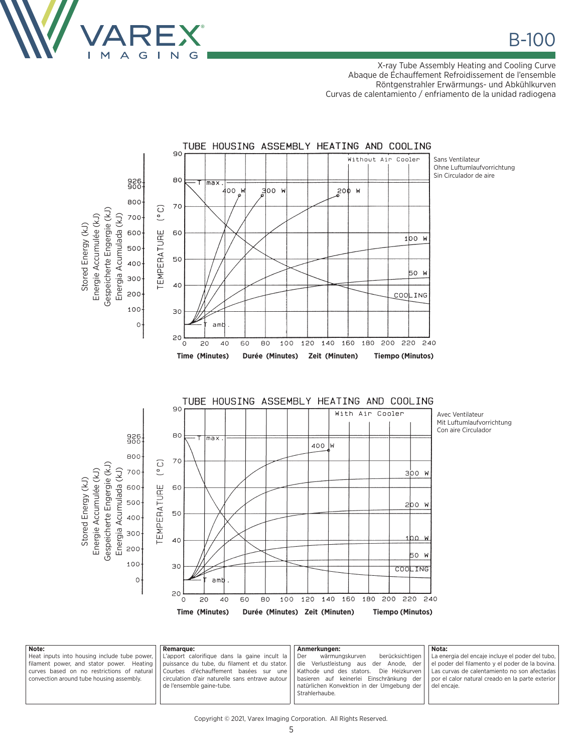

X-ray Tube Assembly Heating and Cooling Curve Abaque de Échauffement Refroidissement de l'ensemble Röntgenstrahler Erwärmungs- und Abkühlkurven Curvas de calentamiento / enfriamento de la unidad radiogena



**Note:** Heat inputs into housing include tube power, filament power, and stator power. Heating curves based on no restrictions of natural convection around tube housing assembly. **Remarque:** L'apport calorifique dans la gaine incult la puissance du tube, du filament et du stator. Courbes d'échauffement basées sur une circulation d'air naturelle sans entrave autour de l'ensemble gaine-tube. **Anmerkungen:** wärmungskurven berücksichtigen die Verlustleistung aus der Anode, der Kathode und des stators. Die Heizkurven basieren auf keinerlei Einschränkung der natürlichen Konvektion in der Umgebung der Strahlerhaube. **Nota:** La energia del encaje incluye el poder del tubo, el poder del filamento y el poder de la bovina. Las curvas de calentamiento no son afectadas por el calor natural creado en la parte exterior del encaje.

Copyright © 2021, Varex Imaging Corporation. All Rights Reserved.